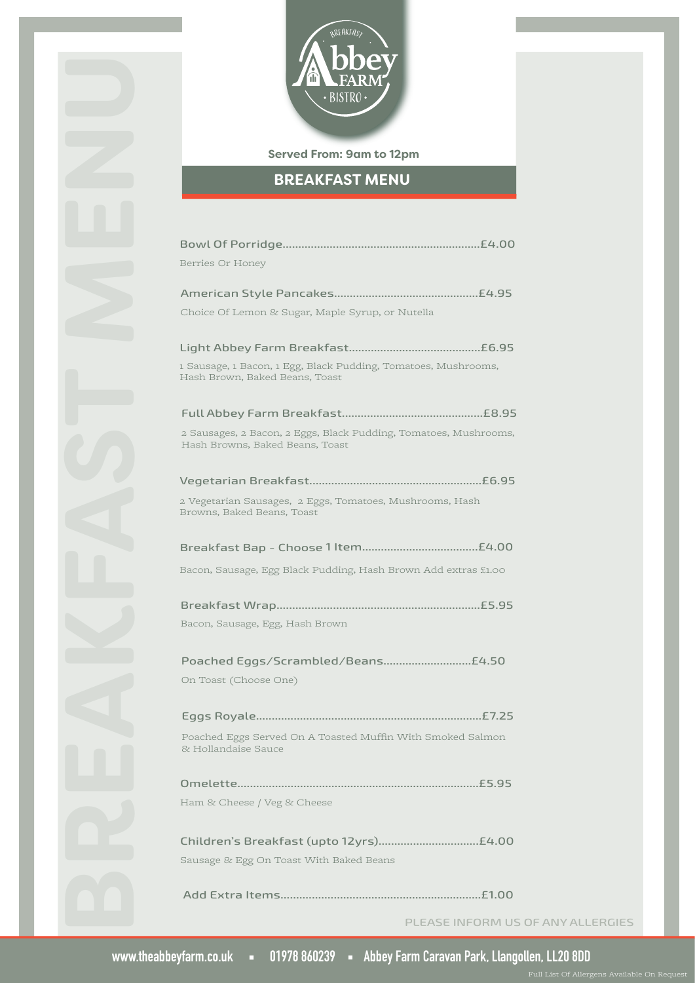

## **Served From: 9am to 12pm**

# **BREAKFAST MENU**

| Berries Or Honey                                                                                    |
|-----------------------------------------------------------------------------------------------------|
|                                                                                                     |
| Choice Of Lemon & Sugar, Maple Syrup, or Nutella                                                    |
|                                                                                                     |
| 1 Sausage, 1 Bacon, 1 Egg, Black Pudding, Tomatoes, Mushrooms,<br>Hash Brown, Baked Beans, Toast    |
|                                                                                                     |
| 2 Sausages, 2 Bacon, 2 Eggs, Black Pudding, Tomatoes, Mushrooms,<br>Hash Browns, Baked Beans, Toast |
|                                                                                                     |
| 2 Vegetarian Sausages, 2 Eggs, Tomatoes, Mushrooms, Hash<br>Browns, Baked Beans, Toast              |
|                                                                                                     |
| Bacon, Sausage, Egg Black Pudding, Hash Brown Add extras £1.00                                      |
|                                                                                                     |
| Bacon, Sausage, Egg, Hash Brown                                                                     |
| Poached Eggs/Scrambled/Beans £4.50                                                                  |
| On Toast (Choose One)                                                                               |
| .£7.25                                                                                              |
| Poached Eggs Served On A Toasted Muffin With Smoked Salmon<br>& Hollandaise Sauce                   |
| £5.95                                                                                               |
| Ham & Cheese / Veg & Cheese                                                                         |
|                                                                                                     |
| Sausage & Egg On Toast With Baked Beans                                                             |
| Add Extra Items                                                                                     |

PLEASE INFORM US OF ANY ALLERGIES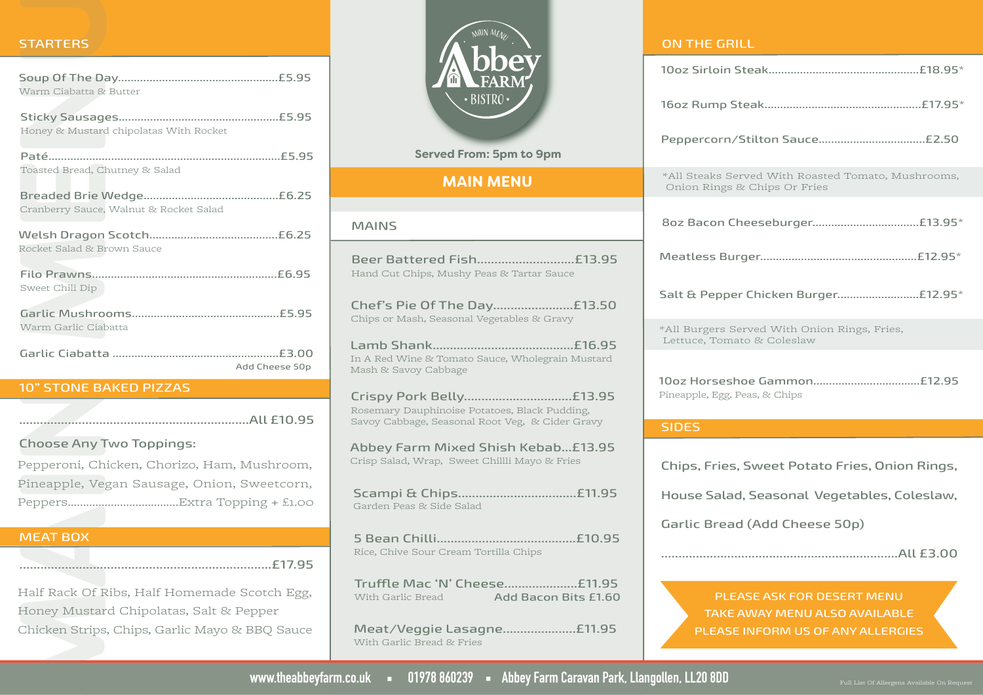| <b>STARTERS</b>                                |
|------------------------------------------------|
|                                                |
| Warm Ciabatta & Butter                         |
| Honey & Mustard chipolatas With Rocket         |
| Toasted Bread, Chutney & Salad                 |
| Cranberry Sauce, Walnut & Rocket Salad         |
| Rocket Salad & Brown Sauce                     |
| Sweet Chili Dip                                |
| Warm Garlic Ciabatta                           |
|                                                |
| Add Cheese 50p                                 |
| <b>10" STONE BAKED PIZZAS</b>                  |
|                                                |
| <b>Choose Any Two Toppings:</b>                |
| Pepperoni, Chicken, Chorizo, Ham, Mushroom,    |
| Pineapple, Vegan Sausage, Onion, Sweetcorn,    |
|                                                |
|                                                |
| <b>MEAT BOX</b>                                |
|                                                |
| Half Rack Of Ribs, Half Homemade Scotch Egg,   |
| Honey Mustard Chipolatas, Salt & Pepper        |
| Chicken Strips, Chips, Garlic Mayo & BBQ Sauce |
| www.theabbeyf                                  |

### MEAT BOX



| *All Steaks Served With Roasted Tomato, Mushrooms,<br>Onion Rings & Chips Or Fries                                             |
|--------------------------------------------------------------------------------------------------------------------------------|
|                                                                                                                                |
|                                                                                                                                |
| Salt & Pepper Chicken Burger £12.95*                                                                                           |
| *All Burgers Served With Onion Rings, Fries,<br>Lettuce, Tomato & Coleslaw                                                     |
| Pineapple, Egg, Peas, & Chips                                                                                                  |
| <b>SIDES</b>                                                                                                                   |
| Chips, Fries, Sweet Potato Fries, Onion Rings,<br>House Salad, Seasonal Vegetables, Coleslaw,<br>Garlic Bread (Add Cheese 50p) |
|                                                                                                                                |

PLEASE ASK FOR DESERT MENU TAKE AWAY MENU ALSO AVAILABLE PLEASE INFORM US OF ANY ALLERGIES

www.theabbeyfarm.co.uk = 01978 860239 = Abbey Farm Caravan Park, Llangollen, LL20 8DD

With Garlic Bread & Fries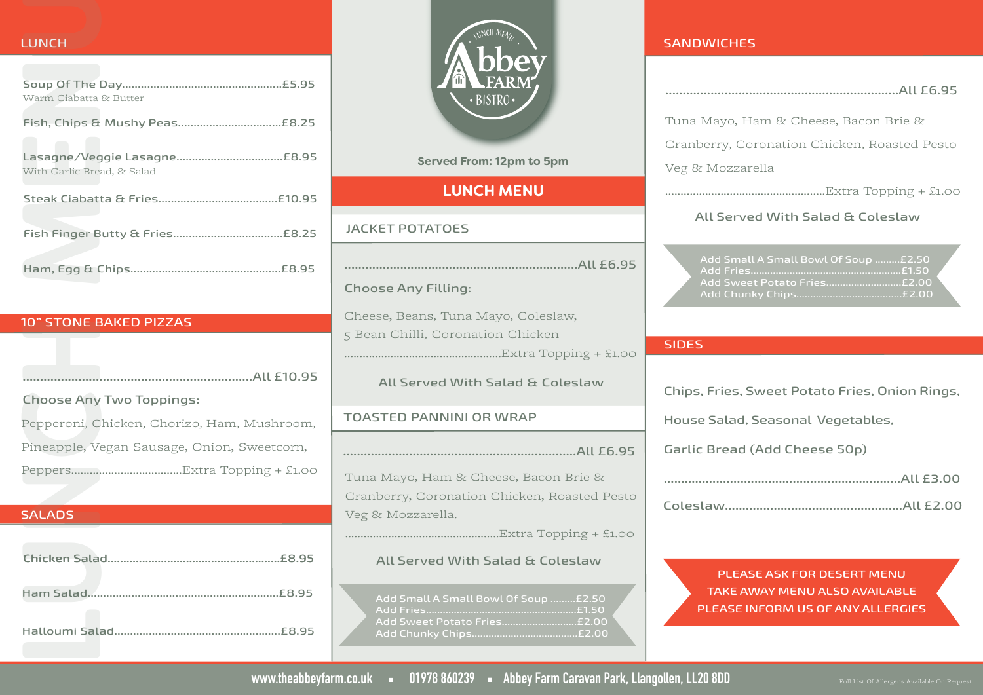| <b>LUNCH</b>                                |
|---------------------------------------------|
| Warm Ciabatta & Butter                      |
|                                             |
| With Garlic Bread, & Salad                  |
|                                             |
|                                             |
|                                             |
|                                             |
| <b>10" STONE BAKED PIZZAS</b>               |
|                                             |
|                                             |
|                                             |
| <b>Choose Any Two Toppings:</b>             |
| Pepperoni, Chicken, Chorizo, Ham, Mushroom, |
| Pineapple, Vegan Sausage, Onion, Sweetcorn, |
|                                             |
|                                             |
| <b>SALADS</b>                               |
|                                             |
|                                             |

#### 10" STONE BAKED PIZZAS

| All £10.95                                  |
|---------------------------------------------|
| <b>Choose Any Two Toppings:</b>             |
| Pepperoni, Chicken, Chorizo, Ham, Mushroom, |
| Pineapple, Vegan Sausage, Onion, Sweetcorn, |
|                                             |

| .£8.95      |
|-------------|
| .£8.95      |
| <b>FR95</b> |



### **Served From: 12pm to 5pm**

## **LUNCH MENU**

### JACKET POTATOES

...................................................................All £6.95 Choose Any Filling: Cheese, Beans, Tuna Mayo, Coleslaw, 5 Bean Chilli, Coronation Chicken ...................................................Extra Topping + £1.00 All Served With Salad & Coleslaw

### TOASTED PANNINI OR WRAP

...................................................................All £6.95

Tuna Mayo, Ham & Cheese, Bacon Brie & Cranberry, Coronation Chicken, Roasted Pesto Veg & Mozzarella.

..................................................Extra Topping + £1.00

## All Served With Salad & Coleslaw

Add Fries......................................................£1.50 Add Sweet Potato Fries...........................£2.00 Add Chunky Chips......................................£2.00

#### **SANDWICHES**

| Tuna Mayo, Ham & Cheese, Bacon Brie &             |
|---------------------------------------------------|
| Cranberry, Coronation Chicken, Roasted Pesto      |
| Veg & Mozzarella                                  |
|                                                   |
| All Served With Salad & Coleslaw                  |
| Add Small A Small Bowl Of Soup £2.50<br>Add Fries |
| <b>SIDES</b>                                      |
| Chips, Fries, Sweet Potato Fries, Onion Rings,    |

House Salad, Seasonal Vegetables,

Garlic Bread (Add Cheese 50p)

PLEASE ASK FOR DESERT MENU TAKE AWAY MENU ALSO AVAILABLE PLEASE INFORM US OF ANY ALLERGIES

www.theabbeyfarm.co.uk = 01978 860239 = Abbey Farm Caravan Park, Llangollen, LL20 8DD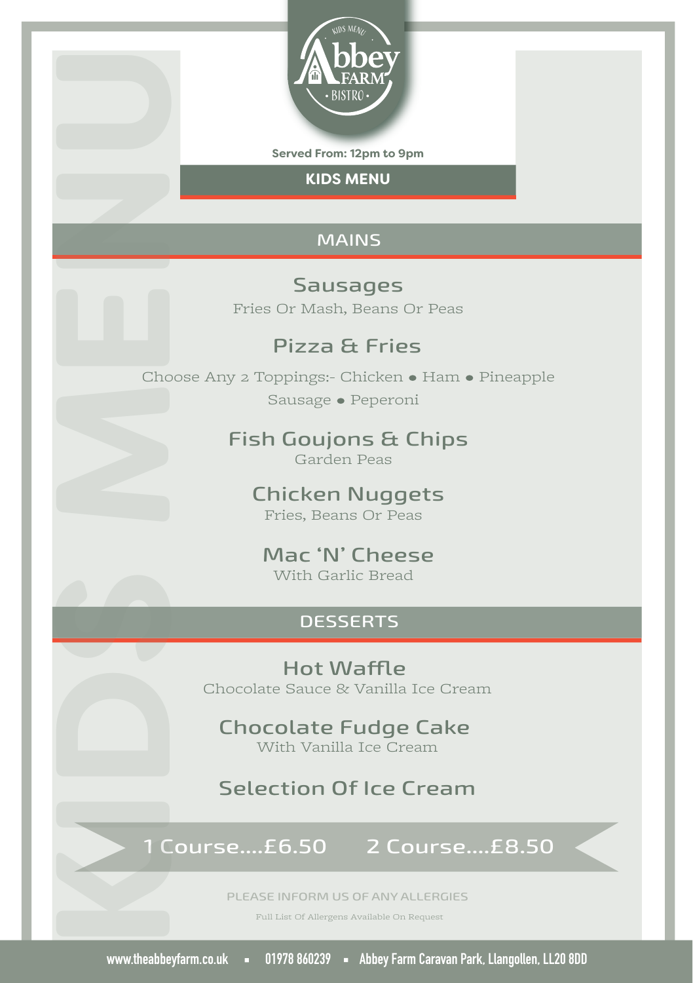

**Served From: 12pm to 9pm**

**KIDS MENU**

#### MAINS

Sausages Fries Or Mash, Beans Or Peas

## Pizza & Fries

Choose Any 2 Toppings:- Chicken • Ham • Pineapple Sausage • Peperoni **ww.theabbeyfarm.co.uk 01978**<br> **www.theabbeyfarm.co.uk 01978**<br> **www.theadbey Farm Caravan Park (Fig. 21978 86024)**<br> **EXECUTE CARAVAN PARK (FIG. 21978 86024)**<br> **CHOUGE ABBE CARAVAN PARK**<br> **CARAVAN PARK (FIG. 21978 86024)**<br>

## Fish Goujons & Chips

Garden Peas

#### Chicken Nuggets Fries, Beans Or Peas

#### Mac 'N' Cheese With Garlic Bread

#### **DESSERTS**

Hot Waffle Chocolate Sauce & Vanilla Ice Cream

Chocolate Fudge Cake With Vanilla Ice Cream

## Selection Of Ice Cream

## 1 Course....£6.50 2 Course....£8.50

PLEASE INFORM US OF ANY ALLERGIES

Full List Of Allergens Available On Request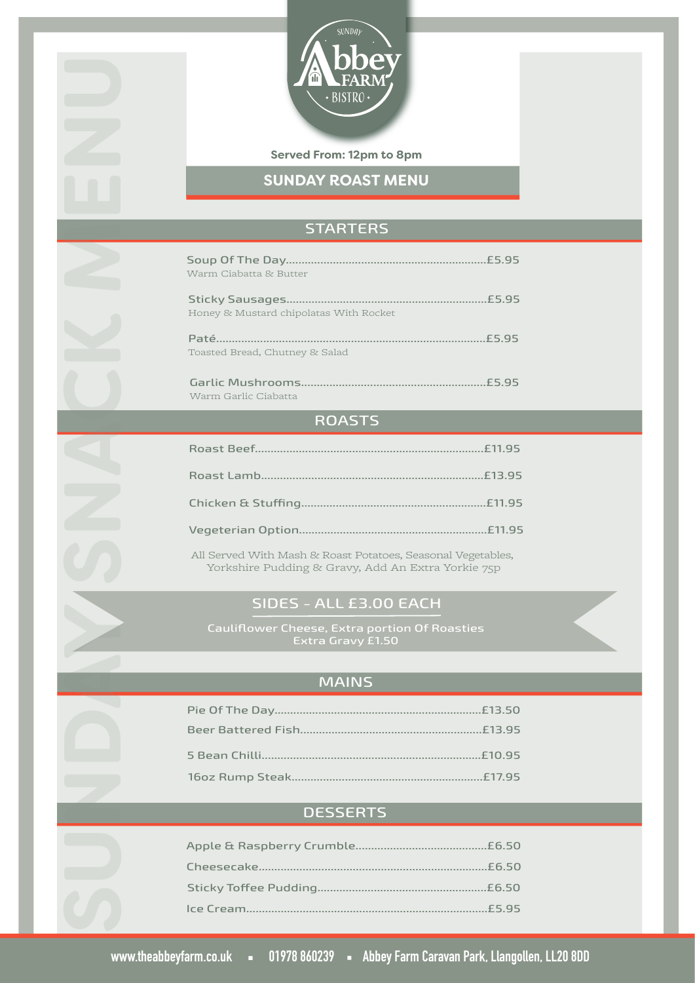

## **Served From: 12pm to 8pm**

**SUNDAY ROAST MENU**

# **STARTERS**

| Warm Ciabatta & Butter                                                                                                                                                                                                                                                                                                                                                                                                                                                                     | £5.95 |
|--------------------------------------------------------------------------------------------------------------------------------------------------------------------------------------------------------------------------------------------------------------------------------------------------------------------------------------------------------------------------------------------------------------------------------------------------------------------------------------------|-------|
| <b>Sticky Sausages</b><br>Honey & Mustard chipolatas With Rocket                                                                                                                                                                                                                                                                                                                                                                                                                           | £5.95 |
| Paté.<br>Toasted Bread, Chutney & Salad                                                                                                                                                                                                                                                                                                                                                                                                                                                    | £5,95 |
| Garlic Mushrooms.<br>Warm Garlic Ciabatta                                                                                                                                                                                                                                                                                                                                                                                                                                                  | £5.95 |
| $\blacksquare$ $\blacksquare$ $\blacksquare$ $\blacksquare$ $\blacksquare$ $\blacksquare$ $\blacksquare$ $\blacksquare$ $\blacksquare$ $\blacksquare$ $\blacksquare$ $\blacksquare$ $\blacksquare$ $\blacksquare$ $\blacksquare$ $\blacksquare$ $\blacksquare$ $\blacksquare$ $\blacksquare$ $\blacksquare$ $\blacksquare$ $\blacksquare$ $\blacksquare$ $\blacksquare$ $\blacksquare$ $\blacksquare$ $\blacksquare$ $\blacksquare$ $\blacksquare$ $\blacksquare$ $\blacksquare$ $\blacks$ |       |

#### ROAS IS

|                                                             | £11.95 |
|-------------------------------------------------------------|--------|
|                                                             | £13.95 |
|                                                             |        |
|                                                             |        |
| All Served With Mash & Roast Potatoes, Seasonal Vegetables, |        |

**SUNDAY SNACK MENU**

Yorkshire Pudding & Gravy, Add An Extra Yorkie 75p

# SIDES - ALL £3.00 EACH

Extra Gravy £1.50

# MAINS

# **DESSERTS**

|                       | .£6.50 |
|-----------------------|--------|
| Sticky Toffee Pudding |        |
|                       |        |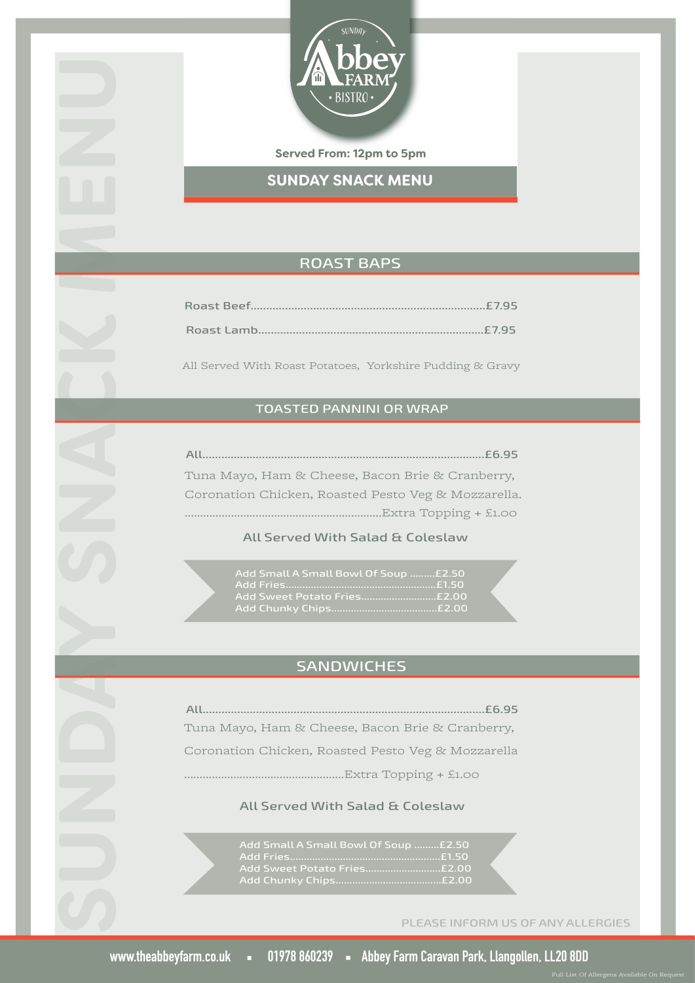

**Served From: 12pm to 5pm**

**SUNDAY SNACK MENU**

## ROAST BAPS

All Served With Roast Potatoes, Yorkshire Pudding & Gravy

## TOASTED PANNINI OR WRAP

| AII<br>.E6.95                                       |
|-----------------------------------------------------|
| Tuna Mayo, Ham & Cheese, Bacon Brie & Cranberry,    |
| Coronation Chicken, Roasted Pesto Veg & Mozzarella. |
| $Extra$ Topping + £1.00                             |

## All Served With Salad & Coleslaw

| Add Small A Small Bowl Of Soup £2.50 |  |
|--------------------------------------|--|
|                                      |  |
|                                      |  |
|                                      |  |

# **SANDWICHES**

All..........................................................................................£6.95 **SUNDAY SNACK MENU<br>
SUNDAY SNACK MENU<br>
SUNDAY SNACK MENU<br>
Roast Beef...**<br>
Roast Hamb<br>
All Served Wire steam Briefly, vorifolding the distribution<br>
TOASTED PANNINI OR WEAP<br>
TUNA Mayo, Ham & Cheese, Bacon Brie & Creativery,<br> Tuna Mayo, Ham & Cheese, Bacon Brie & Cranberry, Coronation Chicken, Roasted Pesto Veg & Mozzarella ....................................................Extra Topping + £1.00

#### All Served With Salad & Coleslaw

Add Small A Small Bowl Of Soup .........£2.50 Add Fries......................................................£1.50 Add Sweet Potato Fries...........................£2.00 Add Chunky Chips......................................£2.00

PLEASE INFORM US OF ANY ALLERGIES